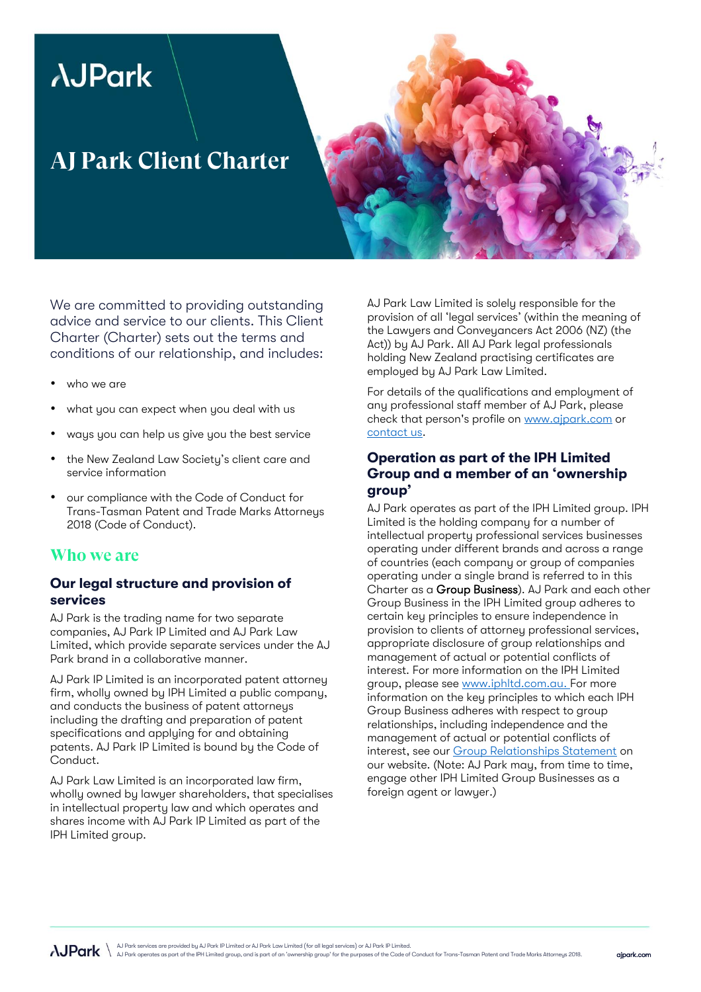# *AJPark*

# **AJ Park Client Charter**

We are committed to providing outstanding advice and service to our clients. This Client Charter (Charter) sets out the terms and conditions of our relationship, and includes:

- who we are
- what you can expect when you deal with us
- ways you can help us give you the best service
- the New Zealand Law Society's client care and service information
- our compliance with the Code of Conduct for Trans-Tasman Patent and Trade Marks Attorneys 2018 (Code of Conduct).

#### **Who we are**

#### Our legal structure and provision of services

AJ Park is the trading name for two separate companies, AJ Park IP Limited and AJ Park Law Limited, which provide separate services under the AJ Park brand in a collaborative manner.

AJ Park IP Limited is an incorporated patent attorney firm, wholly owned by IPH Limited a public company, and conducts the business of patent attorneys including the drafting and preparation of patent specifications and applying for and obtaining patents. AJ Park IP Limited is bound by the Code of Conduct.

AJ Park Law Limited is an incorporated law firm, wholly owned by lawyer shareholders, that specialises in intellectual property law and which operates and shares income with AJ Park IP Limited as part of the IPH Limited group.

AJ Park Law Limited is solely responsible for the provision of all 'legal services' (within the meaning of the Lawyers and Conveyancers Act 2006 (NZ) (the Act)) by AJ Park. All AJ Park legal professionals holding New Zealand practising certificates are employed by AJ Park Law Limited.

For details of the qualifications and employment of any professional staff member of AJ Park, please check that person's profile on [www.ajpark.com](http://www.ajpark.com/) or [contact us.](mailto:mail@ajpark.com)

#### Operation as part of the IPH Limited Group and a member of an 'ownership group'

AJ Park operates as part of the IPH Limited group. IPH Limited is the holding company for a number of intellectual property professional services businesses operating under different brands and across a range of countries (each company or group of companies operating under a single brand is referred to in this Charter as a Group Business). AJ Park and each other Group Business in the IPH Limited group adheres to certain key principles to ensure independence in provision to clients of attorney professional services, appropriate disclosure of group relationships and management of actual or potential conflicts of interest. For more information on the IPH Limited group, please see [www.iphltd.com.au.](http://www.iphltd.com.au/about-iph) For more information on the key principles to which each IPH Group Business adheres with respect to group relationships, including independence and the management of actual or potential conflicts of interest, see ou[r Group Relationships Statement](https://www.ajpark.com/group-relationships-statement/) on our website. (Note: AJ Park may, from time to time, engage other IPH Limited Group Businesses as a foreign agent or lawyer.)

AJ Park services are provided by AJ Park IP Limited or AJ Park Law Limited (for all legal services) or AJ Park IP Limited.<br>AJ Park operates as part of the IPH Limited group, and is part of an "ownership group" for the purp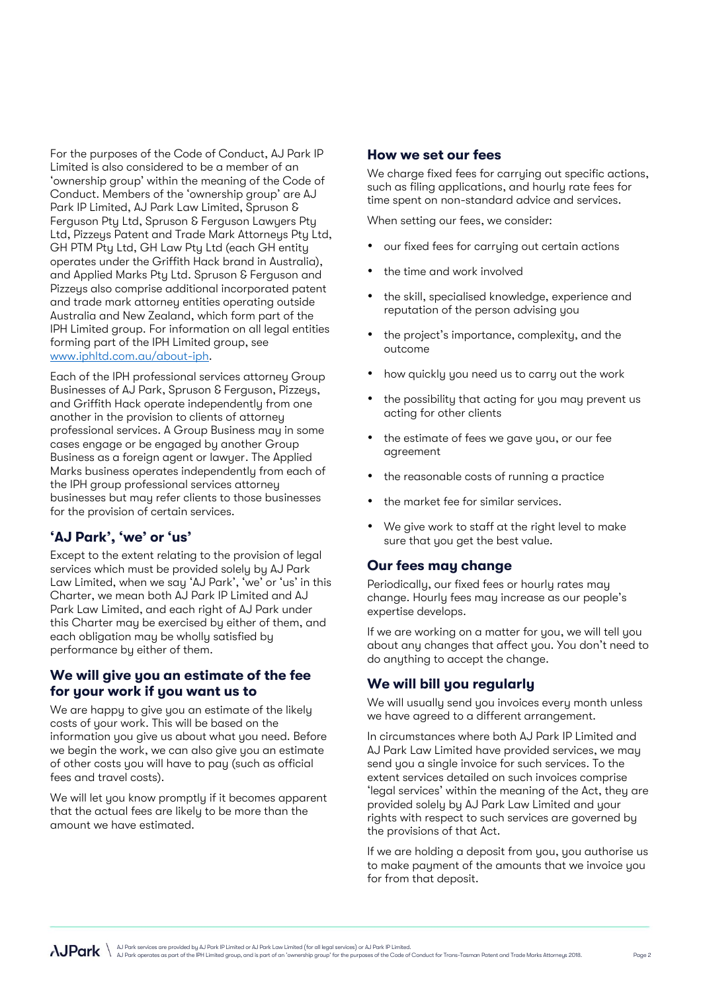For the purposes of the Code of Conduct, AJ Park IP Limited is also considered to be a member of an 'ownership group' within the meaning of the Code of Conduct. Members of the 'ownership group' are AJ Park IP Limited, AJ Park Law Limited, Spruson & Ferguson Pty Ltd, Spruson & Ferguson Lawyers Pty Ltd, Pizzeys Patent and Trade Mark Attorneys Pty Ltd, GH PTM Pty Ltd, GH Law Pty Ltd (each GH entity operates under the Griffith Hack brand in Australia), and Applied Marks Pty Ltd. Spruson & Ferguson and Pizzeys also comprise additional incorporated patent and trade mark attorney entities operating outside Australia and New Zealand, which form part of the IPH Limited group. For information on all legal entities forming part of the IPH Limited group, see [www.iphltd.com.au/about-iph.](http://www.iphltd.com.au/about-iph)

Each of the IPH professional services attorney Group Businesses of AJ Park, Spruson & Ferguson, Pizzeys, and Griffith Hack operate independently from one another in the provision to clients of attorney professional services. A Group Business may in some cases engage or be engaged by another Group Business as a foreign agent or lawyer. The Applied Marks business operates independently from each of the IPH group professional services attorney businesses but may refer clients to those businesses for the provision of certain services.

#### 'AJ Park', 'we' or 'us'

Except to the extent relating to the provision of legal services which must be provided solely by AJ Park Law Limited, when we say 'AJ Park', 'we' or 'us' in this Charter, we mean both AJ Park IP Limited and AJ Park Law Limited, and each right of AJ Park under this Charter may be exercised by either of them, and each obligation may be wholly satisfied by performance by either of them.

#### We will give you an estimate of the fee for your work if you want us to

We are happy to give you an estimate of the likely costs of your work. This will be based on the information you give us about what you need. Before we begin the work, we can also give you an estimate of other costs you will have to pay (such as official fees and travel costs).

We will let you know promptly if it becomes apparent that the actual fees are likely to be more than the amount we have estimated.

#### How we set our fees

We charge fixed fees for carrying out specific actions, such as filing applications, and hourly rate fees for time spent on non-standard advice and services.

When setting our fees, we consider:

- our fixed fees for carrying out certain actions
- the time and work involved
- the skill, specialised knowledge, experience and reputation of the person advising you
- the project's importance, complexity, and the outcome
- how quickly you need us to carry out the work
- the possibility that acting for you may prevent us acting for other clients
- the estimate of fees we gave you, or our fee agreement
- the reasonable costs of running a practice
- the market fee for similar services.
- We give work to staff at the right level to make sure that you get the best value.

#### Our fees may change

Periodically, our fixed fees or hourly rates may change. Hourly fees may increase as our people's expertise develops.

If we are working on a matter for you, we will tell you about any changes that affect you. You don't need to do anything to accept the change.

#### We will bill you regularly

We will usually send you invoices every month unless we have agreed to a different arrangement.

In circumstances where both AJ Park IP Limited and AJ Park Law Limited have provided services, we may send you a single invoice for such services. To the extent services detailed on such invoices comprise 'legal services' within the meaning of the Act, they are provided solely by AJ Park Law Limited and your rights with respect to such services are governed by the provisions of that Act.

If we are holding a deposit from you, you authorise us to make payment of the amounts that we invoice you for from that deposit.

AJ Park services are provided by AJ Park IP Limited or AJ Park Law Limited (for all legal services) or AJ Park IP Limited.<br>AJ Park operates as part of the IPH Limited group, and is part of an 'ownership group' for the purp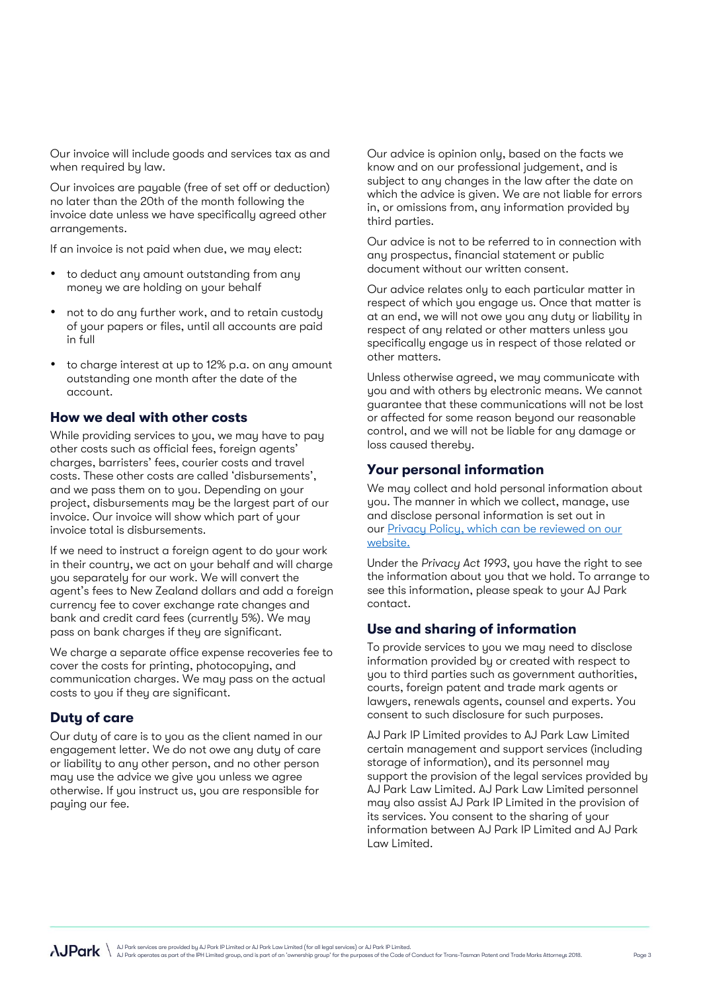Our invoice will include goods and services tax as and when required by law.

Our invoices are payable (free of set off or deduction) no later than the 20th of the month following the invoice date unless we have specifically agreed other arrangements.

If an invoice is not paid when due, we may elect:

- to deduct any amount outstanding from any money we are holding on your behalf
- not to do any further work, and to retain custody of your papers or files, until all accounts are paid in full
- to charge interest at up to 12% p.a. on any amount outstanding one month after the date of the account.

#### How we deal with other costs

While providing services to you, we may have to pay other costs such as official fees, foreign agents' charges, barristers' fees, courier costs and travel costs. These other costs are called 'disbursements', and we pass them on to you. Depending on your project, disbursements may be the largest part of our invoice. Our invoice will show which part of your invoice total is disbursements.

If we need to instruct a foreign agent to do your work in their country, we act on your behalf and will charge you separately for our work. We will convert the agent's fees to New Zealand dollars and add a foreign currency fee to cover exchange rate changes and bank and credit card fees (currently 5%). We may pass on bank charges if they are significant.

We charge a separate office expense recoveries fee to cover the costs for printing, photocopying, and communication charges. We may pass on the actual costs to you if they are significant.

#### Duty of care

Our duty of care is to you as the client named in our engagement letter. We do not owe any duty of care or liability to any other person, and no other person may use the advice we give you unless we agree otherwise. If you instruct us, you are responsible for paying our fee.

Our advice is opinion only, based on the facts we know and on our professional judgement, and is subject to any changes in the law after the date on which the advice is given. We are not liable for errors in, or omissions from, any information provided by third parties.

Our advice is not to be referred to in connection with any prospectus, financial statement or public document without our written consent.

Our advice relates only to each particular matter in respect of which you engage us. Once that matter is at an end, we will not owe you any duty or liability in respect of any related or other matters unless you specifically engage us in respect of those related or other matters.

Unless otherwise agreed, we may communicate with you and with others by electronic means. We cannot guarantee that these communications will not be lost or affected for some reason beyond our reasonable control, and we will not be liable for any damage or loss caused thereby.

#### Your personal information

We may collect and hold personal information about you. The manner in which we collect, manage, use and disclose personal information is set out in our [Privacy Policy,](http://www.ajpark.com/privacy-policy/) which can be reviewed on our website.

Under the *Privacy Act 1993*, you have the right to see the information about you that we hold. To arrange to see this information, please speak to your AJ Park contact.

#### Use and sharing of information

To provide services to you we may need to disclose information provided by or created with respect to you to third parties such as government authorities, courts, foreign patent and trade mark agents or lawyers, renewals agents, counsel and experts. You consent to such disclosure for such purposes.

AJ Park IP Limited provides to AJ Park Law Limited certain management and support services (including storage of information), and its personnel may support the provision of the legal services provided by AJ Park Law Limited. AJ Park Law Limited personnel may also assist AJ Park IP Limited in the provision of its services. You consent to the sharing of your information between AJ Park IP Limited and AJ Park Law Limited.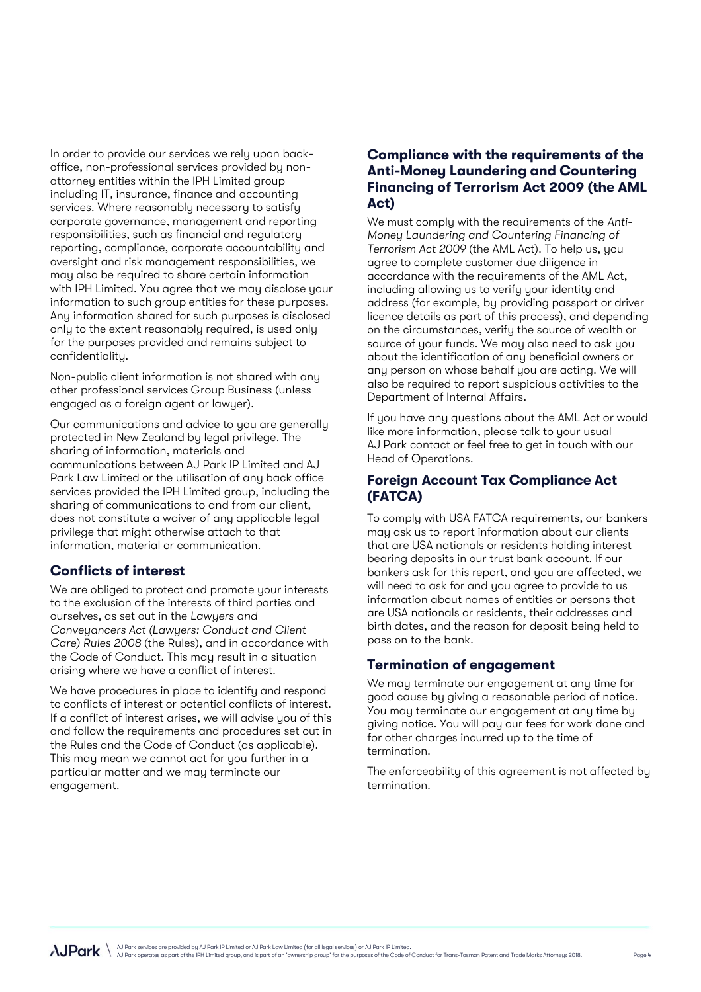In order to provide our services we rely upon backoffice, non-professional services provided by nonattorney entities within the IPH Limited group including IT, insurance, finance and accounting services. Where reasonably necessary to satisfy corporate governance, management and reporting responsibilities, such as financial and regulatory reporting, compliance, corporate accountability and oversight and risk management responsibilities, we may also be required to share certain information with IPH Limited. You agree that we may disclose your information to such group entities for these purposes. Any information shared for such purposes is disclosed only to the extent reasonably required, is used only for the purposes provided and remains subject to confidentiality.

Non-public client information is not shared with any other professional services Group Business (unless engaged as a foreign agent or lawyer).

Our communications and advice to you are generally protected in New Zealand by legal privilege. The sharing of information, materials and communications between AJ Park IP Limited and AJ Park Law Limited or the utilisation of any back office services provided the IPH Limited group, including the sharing of communications to and from our client, does not constitute a waiver of any applicable legal privilege that might otherwise attach to that information, material or communication.

#### Conflicts of interest

We are obliged to protect and promote your interests to the exclusion of the interests of third parties and ourselves, as set out in the *Lawyers and Conveyancers Act (Lawyers: Conduct and Client Care) Rules 2008* (the Rules), and in accordance with the Code of Conduct. This may result in a situation arising where we have a conflict of interest.

We have procedures in place to identify and respond to conflicts of interest or potential conflicts of interest. If a conflict of interest arises, we will advise you of this and follow the requirements and procedures set out in the Rules and the Code of Conduct (as applicable). This may mean we cannot act for you further in a particular matter and we may terminate our engagement.

#### Compliance with the requirements of the Anti-Money Laundering and Countering Financing of Terrorism Act 2009 (the AML Act)

We must comply with the requirements of the *Anti-Money Laundering and Countering Financing of Terrorism Act 2009* (the AML Act). To help us, you agree to complete customer due diligence in accordance with the requirements of the AML Act, including allowing us to verify your identity and address (for example, by providing passport or driver licence details as part of this process), and depending on the circumstances, verify the source of wealth or source of your funds. We may also need to ask you about the identification of any beneficial owners or any person on whose behalf you are acting. We will also be required to report suspicious activities to the Department of Internal Affairs.

If you have any questions about the AML Act or would like more information, please talk to your usual AJ Park contact or feel free to get in touch with our Head of Operations.

#### Foreign Account Tax Compliance Act (FATCA)

To comply with USA FATCA requirements, our bankers may ask us to report information about our clients that are USA nationals or residents holding interest bearing deposits in our trust bank account. If our bankers ask for this report, and you are affected, we will need to ask for and you agree to provide to us information about names of entities or persons that are USA nationals or residents, their addresses and birth dates, and the reason for deposit being held to pass on to the bank.

#### Termination of engagement

We may terminate our engagement at any time for good cause by giving a reasonable period of notice. You may terminate our engagement at any time by giving notice. You will pay our fees for work done and for other charges incurred up to the time of termination.

The enforceability of this agreement is not affected by termination.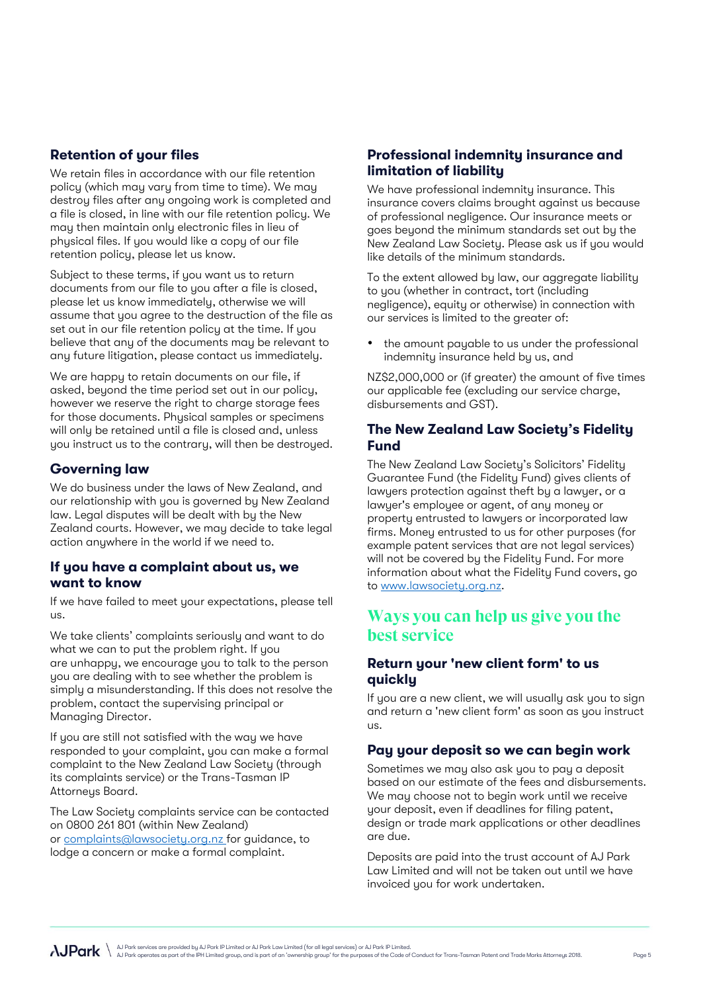#### Retention of your files

We retain files in accordance with our file retention policy (which may vary from time to time). We may destroy files after any ongoing work is completed and a file is closed, in line with our file retention policy. We may then maintain only electronic files in lieu of physical files. If you would like a copy of our file retention policy, please let us know.

Subject to these terms, if you want us to return documents from our file to you after a file is closed, please let us know immediately, otherwise we will assume that you agree to the destruction of the file as set out in our file retention policy at the time. If you believe that any of the documents may be relevant to any future litigation, please contact us immediately.

We are happy to retain documents on our file, if asked, beyond the time period set out in our policy, however we reserve the right to charge storage fees for those documents. Physical samples or specimens will only be retained until a file is closed and, unless you instruct us to the contrary, will then be destroyed.

#### Governing law

We do business under the laws of New Zealand, and our relationship with you is governed by New Zealand law. Legal disputes will be dealt with by the New Zealand courts. However, we may decide to take legal action anywhere in the world if we need to.

#### If you have a complaint about us, we want to know

If we have failed to meet your expectations, please tell us.

We take clients' complaints seriously and want to do what we can to put the problem right. If you are unhappy, we encourage you to talk to the person you are dealing with to see whether the problem is simply a misunderstanding. If this does not resolve the problem, contact the supervising principal or Managing Director.

If you are still not satisfied with the way we have responded to your complaint, you can make a formal complaint to the New Zealand Law Society (through its complaints service) or the Trans-Tasman IP Attorneys Board.

The Law Society complaints service can be contacted on 0800 261 801 (within New Zealand) or [complaints@lawsociety.org.nz](file:///C:/Users/LRS/Desktop/Visual%20indentity%20refresh/Information%20sheets/complaints@lawsociety.org.nz ) for guidance, to lodge a concern or make a formal complaint.

#### Professional indemnity insurance and limitation of liability

We have professional indemnity insurance. This insurance covers claims brought against us because of professional negligence. Our insurance meets or goes beyond the minimum standards set out by the New Zealand Law Society. Please ask us if you would like details of the minimum standards.

To the extent allowed by law, our aggregate liability to you (whether in contract, tort (including negligence), equity or otherwise) in connection with our services is limited to the greater of:

the amount payable to us under the professional indemnity insurance held by us, and

NZ\$2,000,000 or (if greater) the amount of five times our applicable fee (excluding our service charge, disbursements and GST).

#### The New Zealand Law Society's Fidelity Fund

The New Zealand Law Society's Solicitors' Fidelity Guarantee Fund (the Fidelity Fund) gives clients of lawyers protection against theft by a lawyer, or a lawyer's employee or agent, of any money or property entrusted to lawyers or incorporated law firms. Money entrusted to us for other purposes (for example patent services that are not legal services) will not be covered by the Fidelity Fund. For more information about what the Fidelity Fund covers, go to [www.lawsociety.org.nz.](file:///C:/Users/LRS/Desktop/Visual%20indentity%20refresh/Information%20sheets/www.lawsociety.org.nz)

## **Ways you can help us give you the best service**

#### Return your 'new client form' to us quickly

If you are a new client, we will usually ask you to sign and return a 'new client form' as soon as you instruct us.

#### Pay your deposit so we can begin work

Sometimes we may also ask you to pay a deposit based on our estimate of the fees and disbursements. We may choose not to begin work until we receive your deposit, even if deadlines for filing patent, design or trade mark applications or other deadlines are due.

Deposits are paid into the trust account of AJ Park Law Limited and will not be taken out until we have invoiced you for work undertaken.

AJ Park services are provided by AJ Park IP Limited or AJ Park Law Limited (for all legal services) or AJ Park IP Limited.<br>AJ Park operates as part of the IPH Limited group, and is part of an 'ownership group' for the purp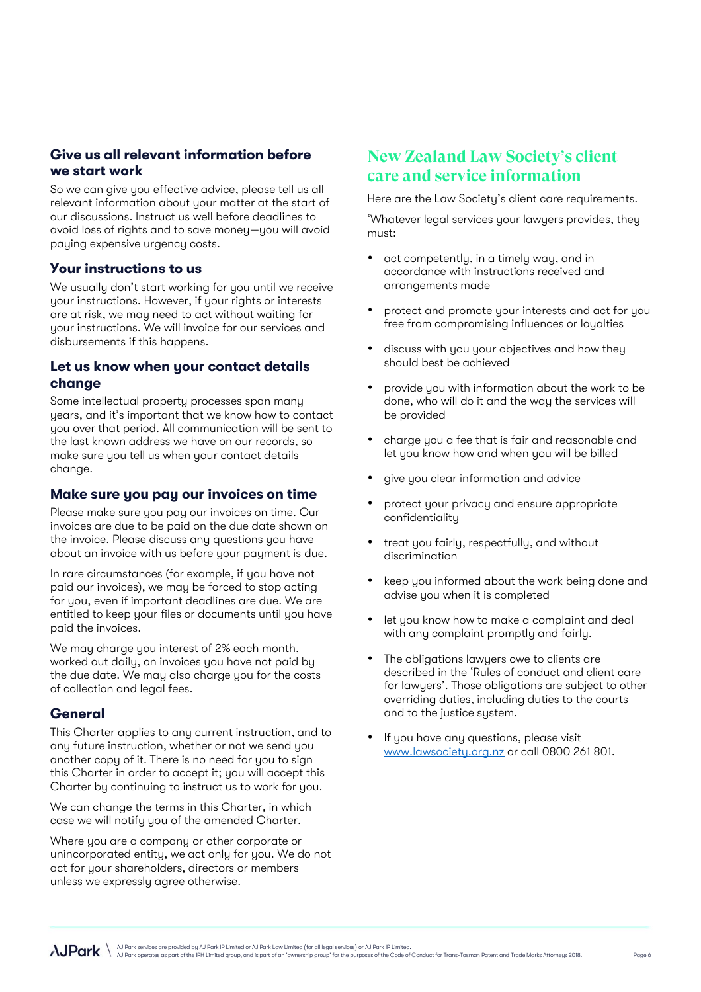### Give us all relevant information before we start work

So we can give you effective advice, please tell us all relevant information about your matter at the start of our discussions. Instruct us well before deadlines to avoid loss of rights and to save money—you will avoid paying expensive urgency costs.

#### Your instructions to us

We usually don't start working for you until we receive your instructions. However, if your rights or interests are at risk, we may need to act without waiting for your instructions. We will invoice for our services and disbursements if this happens.

#### Let us know when your contact details change

Some intellectual property processes span many years, and it's important that we know how to contact you over that period. All communication will be sent to the last known address we have on our records, so make sure you tell us when your contact details change.

#### Make sure you pay our invoices on time

Please make sure you pay our invoices on time. Our invoices are due to be paid on the due date shown on the invoice. Please discuss any questions you have about an invoice with us before your payment is due.

In rare circumstances (for example, if you have not paid our invoices), we may be forced to stop acting for you, even if important deadlines are due. We are entitled to keep your files or documents until you have paid the invoices.

We may charge you interest of 2% each month, worked out daily, on invoices you have not paid by the due date. We may also charge you for the costs of collection and legal fees.

#### General

This Charter applies to any current instruction, and to any future instruction, whether or not we send you another copy of it. There is no need for you to sign this Charter in order to accept it; you will accept this Charter by continuing to instruct us to work for you.

We can change the terms in this Charter, in which case we will notify you of the amended Charter.

Where you are a company or other corporate or unincorporated entity, we act only for you. We do not act for your shareholders, directors or members unless we expressly agree otherwise.

# **New Zealand Law Society's client care and service information**

Here are the Law Society's client care requirements.

'Whatever legal services your lawyers provides, they must:

- act competently, in a timely way, and in accordance with instructions received and arrangements made
- protect and promote your interests and act for you free from compromising influences or loyalties
- discuss with you your objectives and how they should best be achieved
- provide you with information about the work to be done, who will do it and the way the services will be provided
- charge you a fee that is fair and reasonable and let you know how and when you will be billed
- give you clear information and advice
- protect your privacy and ensure appropriate confidentiality
- treat you fairly, respectfully, and without discrimination
- keep you informed about the work being done and advise you when it is completed
- let you know how to make a complaint and deal with any complaint promptly and fairly.
- The obligations lawyers owe to clients are described in the 'Rules of conduct and client care for lawyers'. Those obligations are subject to other overriding duties, including duties to the courts and to the justice system.
- If you have any questions, please visit [www.lawsociety.org.nz](http://www.lawsociety.org.nz/) or call 0800 261 801.

AJ Park services are provided by AJ Park IP Limited or AJ Park Law Limited (for all legal services) or AJ Park IP Limited.<br>AJ Park operates as part of the IPH Limited group, and is part of an 'ownership group' for the purp